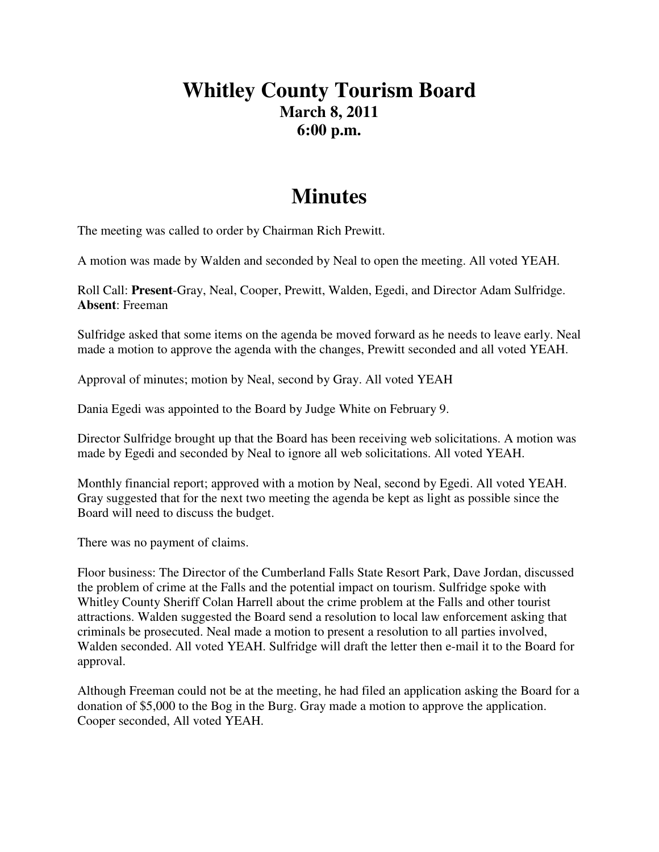## **Whitley County Tourism Board March 8, 2011 6:00 p.m.**

## **Minutes**

The meeting was called to order by Chairman Rich Prewitt.

A motion was made by Walden and seconded by Neal to open the meeting. All voted YEAH.

Roll Call: **Present**-Gray, Neal, Cooper, Prewitt, Walden, Egedi, and Director Adam Sulfridge. **Absent**: Freeman

Sulfridge asked that some items on the agenda be moved forward as he needs to leave early. Neal made a motion to approve the agenda with the changes, Prewitt seconded and all voted YEAH.

Approval of minutes; motion by Neal, second by Gray. All voted YEAH

Dania Egedi was appointed to the Board by Judge White on February 9.

Director Sulfridge brought up that the Board has been receiving web solicitations. A motion was made by Egedi and seconded by Neal to ignore all web solicitations. All voted YEAH.

Monthly financial report; approved with a motion by Neal, second by Egedi. All voted YEAH. Gray suggested that for the next two meeting the agenda be kept as light as possible since the Board will need to discuss the budget.

There was no payment of claims.

Floor business: The Director of the Cumberland Falls State Resort Park, Dave Jordan, discussed the problem of crime at the Falls and the potential impact on tourism. Sulfridge spoke with Whitley County Sheriff Colan Harrell about the crime problem at the Falls and other tourist attractions. Walden suggested the Board send a resolution to local law enforcement asking that criminals be prosecuted. Neal made a motion to present a resolution to all parties involved, Walden seconded. All voted YEAH. Sulfridge will draft the letter then e-mail it to the Board for approval.

Although Freeman could not be at the meeting, he had filed an application asking the Board for a donation of \$5,000 to the Bog in the Burg. Gray made a motion to approve the application. Cooper seconded, All voted YEAH.